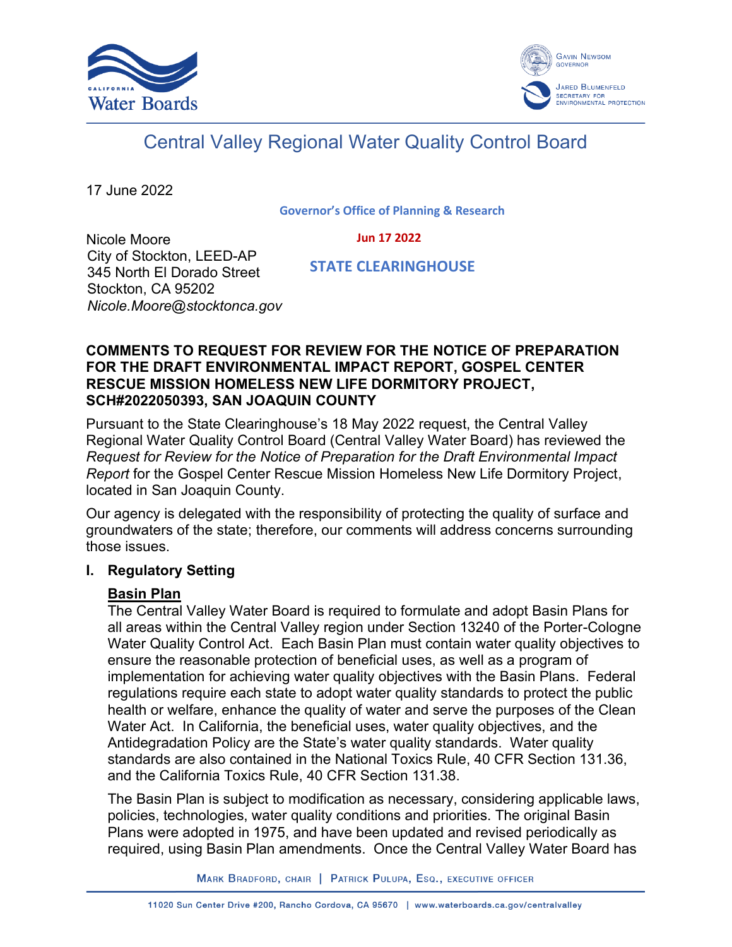



# Central Valley Regional Water Quality Control Board

17 June 2022

**Governor's Office of Planning & Research**

#### **Jun 17 2022**

Nicole Moore City of Stockton, LEED-AP 345 North El Dorado Street Stockton, CA 95202 *Nicole.Moore@stocktonca.gov*

 **STATE CLEARINGHOUSE**

#### **COMMENTS TO REQUEST FOR REVIEW FOR THE NOTICE OF PREPARATION FOR THE DRAFT ENVIRONMENTAL IMPACT REPORT, GOSPEL CENTER RESCUE MISSION HOMELESS NEW LIFE DORMITORY PROJECT, SCH#2022050393, SAN JOAQUIN COUNTY**

Pursuant to the State Clearinghouse's 18 May 2022 request, the Central Valley Regional Water Quality Control Board (Central Valley Water Board) has reviewed the *Request for Review for the Notice of Preparation for the Draft Environmental Impact Report* for the Gospel Center Rescue Mission Homeless New Life Dormitory Project, located in San Joaquin County.

Our agency is delegated with the responsibility of protecting the quality of surface and groundwaters of the state; therefore, our comments will address concerns surrounding those issues.

#### **I. Regulatory Setting**

#### **Basin Plan**

The Central Valley Water Board is required to formulate and adopt Basin Plans for all areas within the Central Valley region under Section 13240 of the Porter-Cologne Water Quality Control Act. Each Basin Plan must contain water quality objectives to ensure the reasonable protection of beneficial uses, as well as a program of implementation for achieving water quality objectives with the Basin Plans. Federal regulations require each state to adopt water quality standards to protect the public health or welfare, enhance the quality of water and serve the purposes of the Clean Water Act. In California, the beneficial uses, water quality objectives, and the Antidegradation Policy are the State's water quality standards. Water quality standards are also contained in the National Toxics Rule, 40 CFR Section 131.36, and the California Toxics Rule, 40 CFR Section 131.38.

The Basin Plan is subject to modification as necessary, considering applicable laws, policies, technologies, water quality conditions and priorities. The original Basin Plans were adopted in 1975, and have been updated and revised periodically as required, using Basin Plan amendments. Once the Central Valley Water Board has

MARK BRADFORD, CHAIR | PATRICK PULUPA, ESQ., EXECUTIVE OFFICER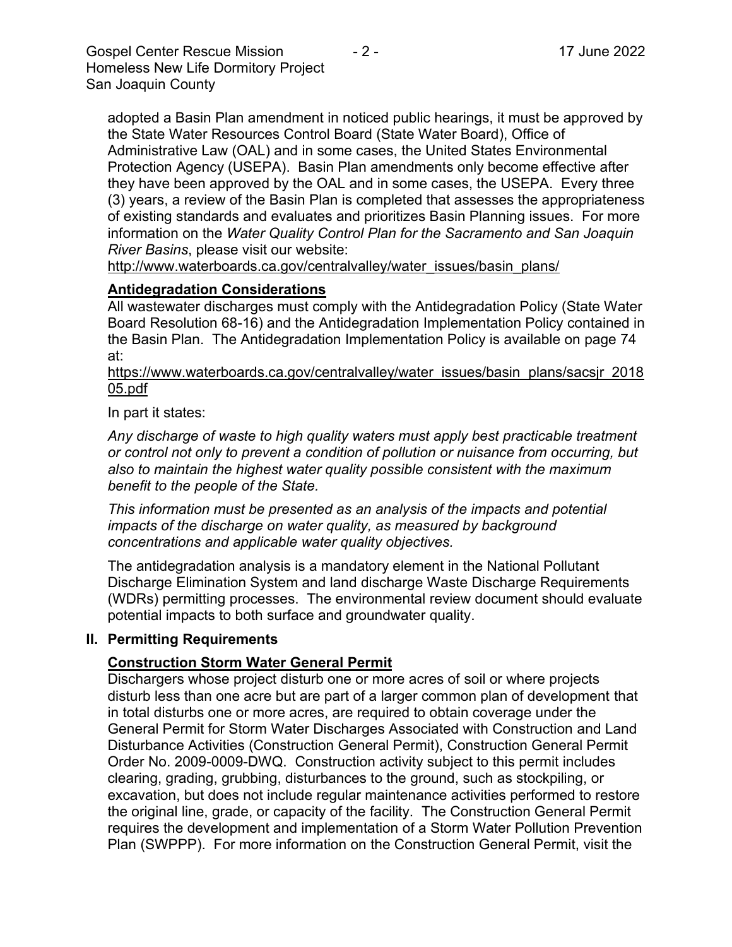Gospel Center Rescue Mission  $\overline{a}$  - 2 - 17 June 2022 Homeless New Life Dormitory Project San Joaquin County

adopted a Basin Plan amendment in noticed public hearings, it must be approved by the State Water Resources Control Board (State Water Board), Office of Administrative Law (OAL) and in some cases, the United States Environmental Protection Agency (USEPA). Basin Plan amendments only become effective after they have been approved by the OAL and in some cases, the USEPA. Every three (3) years, a review of the Basin Plan is completed that assesses the appropriateness of existing standards and evaluates and prioritizes Basin Planning issues. For more information on the *Water Quality Control Plan for the Sacramento and San Joaquin River Basins*, please visit our website:

[http://www.waterboards.ca.gov/centralvalley/water\\_issues/basin\\_plans/](http://www.waterboards.ca.gov/centralvalley/water_issues/basin_plans/)

# **Antidegradation Considerations**

All wastewater discharges must comply with the Antidegradation Policy (State Water Board Resolution 68-16) and the Antidegradation Implementation Policy contained in the Basin Plan. The Antidegradation Implementation Policy is available on page 74 at:

https://www.waterboards.ca.gov/centralvalley/water\_issues/basin\_plans/sacsjr\_2018 05.pdf

In part it states:

*Any discharge of waste to high quality waters must apply best practicable treatment or control not only to prevent a condition of pollution or nuisance from occurring, but also to maintain the highest water quality possible consistent with the maximum benefit to the people of the State.*

*This information must be presented as an analysis of the impacts and potential impacts of the discharge on water quality, as measured by background concentrations and applicable water quality objectives.*

The antidegradation analysis is a mandatory element in the National Pollutant Discharge Elimination System and land discharge Waste Discharge Requirements (WDRs) permitting processes. The environmental review document should evaluate potential impacts to both surface and groundwater quality.

#### **II. Permitting Requirements**

#### **Construction Storm Water General Permit**

Dischargers whose project disturb one or more acres of soil or where projects disturb less than one acre but are part of a larger common plan of development that in total disturbs one or more acres, are required to obtain coverage under the General Permit for Storm Water Discharges Associated with Construction and Land Disturbance Activities (Construction General Permit), Construction General Permit Order No. 2009-0009-DWQ. Construction activity subject to this permit includes clearing, grading, grubbing, disturbances to the ground, such as stockpiling, or excavation, but does not include regular maintenance activities performed to restore the original line, grade, or capacity of the facility. The Construction General Permit requires the development and implementation of a Storm Water Pollution Prevention Plan (SWPPP). For more information on the Construction General Permit, visit the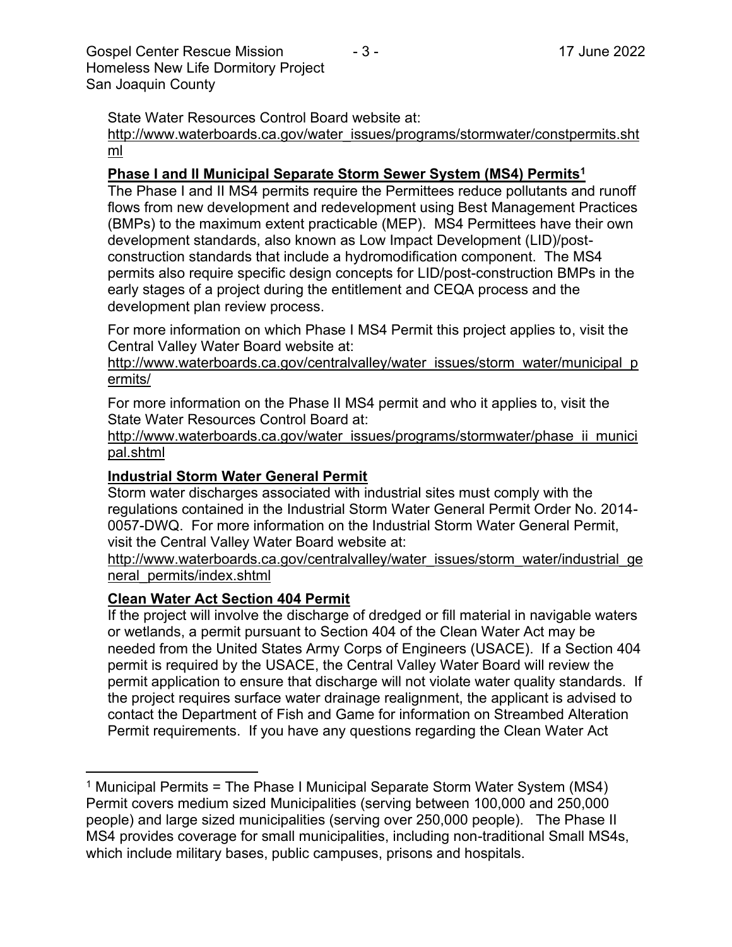Gospel Center Rescue Mission  $\overline{3}$  - 17 June 2022 Homeless New Life Dormitory Project San Joaquin County

State Water Resources Control Board website at:

[http://www.waterboards.ca.gov/water\\_issues/programs/stormwater/constpermits.sht](http://www.waterboards.ca.gov/water_issues/programs/stormwater/constpermits.shtml) [ml](http://www.waterboards.ca.gov/water_issues/programs/stormwater/constpermits.shtml)

### **Phase I and II Municipal Separate Storm Sewer System (MS4) Permits<sup>1</sup>**

The Phase I and II MS4 permits require the Permittees reduce pollutants and runoff flows from new development and redevelopment using Best Management Practices (BMPs) to the maximum extent practicable (MEP). MS4 Permittees have their own development standards, also known as Low Impact Development (LID)/postconstruction standards that include a hydromodification component. The MS4 permits also require specific design concepts for LID/post-construction BMPs in the early stages of a project during the entitlement and CEQA process and the development plan review process.

For more information on which Phase I MS4 Permit this project applies to, visit the Central Valley Water Board website at:

http://www.waterboards.ca.gov/centralvalley/water\_issues/storm\_water/municipal\_p ermits/

For more information on the Phase II MS4 permit and who it applies to, visit the State Water Resources Control Board at:

http://www.waterboards.ca.gov/water\_issues/programs/stormwater/phase\_ii\_munici pal.shtml

### **Industrial Storm Water General Permit**

Storm water discharges associated with industrial sites must comply with the regulations contained in the Industrial Storm Water General Permit Order No. 2014- 0057-DWQ. For more information on the Industrial Storm Water General Permit, visit the Central Valley Water Board website at:

http://www.waterboards.ca.gov/centralvalley/water\_issues/storm\_water/industrial\_ge neral\_permits/index.shtml

# **Clean Water Act Section 404 Permit**

If the project will involve the discharge of dredged or fill material in navigable waters or wetlands, a permit pursuant to Section 404 of the Clean Water Act may be needed from the United States Army Corps of Engineers (USACE). If a Section 404 permit is required by the USACE, the Central Valley Water Board will review the permit application to ensure that discharge will not violate water quality standards. If the project requires surface water drainage realignment, the applicant is advised to contact the Department of Fish and Game for information on Streambed Alteration Permit requirements. If you have any questions regarding the Clean Water Act

<sup>&</sup>lt;sup>1</sup> Municipal Permits = The Phase I Municipal Separate Storm Water System (MS4) Permit covers medium sized Municipalities (serving between 100,000 and 250,000 people) and large sized municipalities (serving over 250,000 people). The Phase II MS4 provides coverage for small municipalities, including non-traditional Small MS4s, which include military bases, public campuses, prisons and hospitals.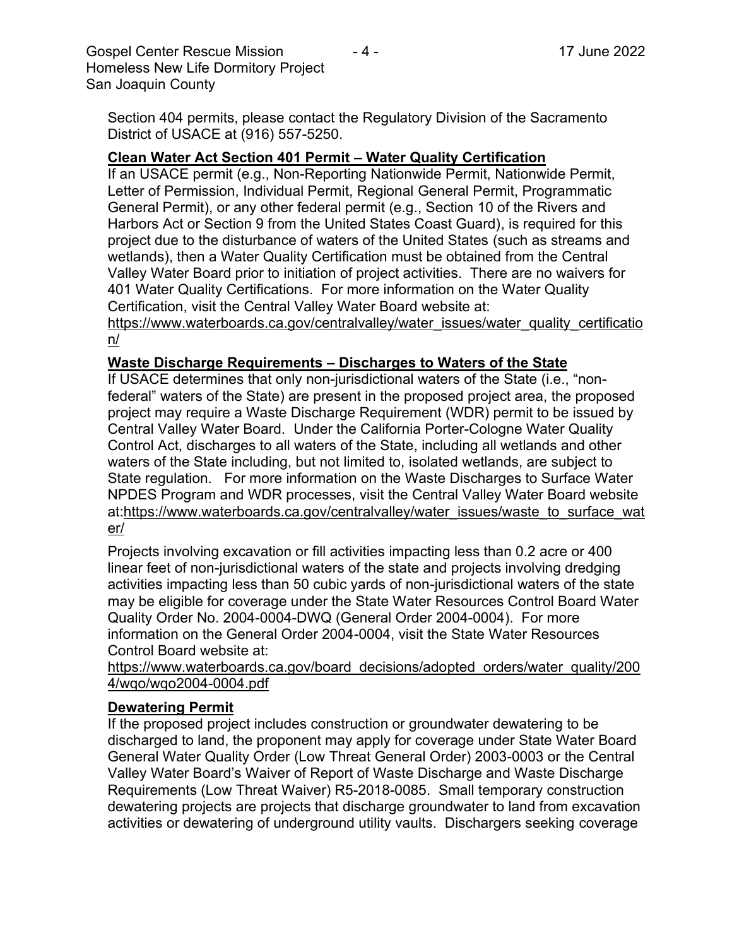Gospel Center Rescue Mission  $\overline{a}$  - 4 - 17 June 2022 Homeless New Life Dormitory Project San Joaquin County

Section 404 permits, please contact the Regulatory Division of the Sacramento District of USACE at (916) 557-5250.

### **Clean Water Act Section 401 Permit – Water Quality Certification**

If an USACE permit (e.g., Non-Reporting Nationwide Permit, Nationwide Permit, Letter of Permission, Individual Permit, Regional General Permit, Programmatic General Permit), or any other federal permit (e.g., Section 10 of the Rivers and Harbors Act or Section 9 from the United States Coast Guard), is required for this project due to the disturbance of waters of the United States (such as streams and wetlands), then a Water Quality Certification must be obtained from the Central Valley Water Board prior to initiation of project activities. There are no waivers for 401 Water Quality Certifications. For more information on the Water Quality Certification, visit the Central Valley Water Board website at:

https://www.waterboards.ca.gov/centralvalley/water\_issues/water\_quality\_certificatio n/

#### **Waste Discharge Requirements – Discharges to Waters of the State**

If USACE determines that only non-jurisdictional waters of the State (i.e., "nonfederal" waters of the State) are present in the proposed project area, the proposed project may require a Waste Discharge Requirement (WDR) permit to be issued by Central Valley Water Board. Under the California Porter-Cologne Water Quality Control Act, discharges to all waters of the State, including all wetlands and other waters of the State including, but not limited to, isolated wetlands, are subject to State regulation. For more information on the Waste Discharges to Surface Water NPDES Program and WDR processes, visit the Central Valley Water Board website at:https://www.waterboards.ca.gov/centralvalley/water\_issues/waste\_to\_surface\_wat er/

Projects involving excavation or fill activities impacting less than 0.2 acre or 400 linear feet of non-jurisdictional waters of the state and projects involving dredging activities impacting less than 50 cubic yards of non-jurisdictional waters of the state may be eligible for coverage under the State Water Resources Control Board Water Quality Order No. 2004-0004-DWQ (General Order 2004-0004). For more information on the General Order 2004-0004, visit the State Water Resources Control Board website at:

https://www.waterboards.ca.gov/board\_decisions/adopted\_orders/water\_quality/200 4/wqo/wqo2004-0004.pdf

#### **Dewatering Permit**

If the proposed project includes construction or groundwater dewatering to be discharged to land, the proponent may apply for coverage under State Water Board General Water Quality Order (Low Threat General Order) 2003-0003 or the Central Valley Water Board's Waiver of Report of Waste Discharge and Waste Discharge Requirements (Low Threat Waiver) R5-2018-0085. Small temporary construction dewatering projects are projects that discharge groundwater to land from excavation activities or dewatering of underground utility vaults. Dischargers seeking coverage